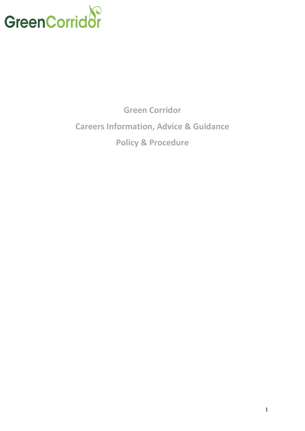

**Green Corridor Careers Information, Advice & Guidance Policy & Procedure**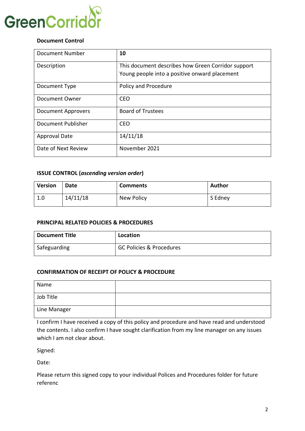

### **Document Control**

| <b>Document Number</b>    | 10                                                 |
|---------------------------|----------------------------------------------------|
| Description               | This document describes how Green Corridor support |
|                           | Young people into a positive onward placement      |
| Document Type             | Policy and Procedure                               |
| Document Owner            | <b>CEO</b>                                         |
| <b>Document Approvers</b> | <b>Board of Trustees</b>                           |
| <b>Document Publisher</b> | <b>CEO</b>                                         |
| <b>Approval Date</b>      | 14/11/18                                           |
| Date of Next Review       | November 2021                                      |

### **ISSUE CONTROL (***ascending version order***)**

| <b>Version</b> | Date     | <b>Comments</b> | Author  |
|----------------|----------|-----------------|---------|
| 1.0            | 14/11/18 | New Policy      | S Edney |

### **PRINCIPAL RELATED POLICIES & PROCEDURES**

| <b>Document Title</b> | Location                            |
|-----------------------|-------------------------------------|
| Safeguarding          | <b>GC Policies &amp; Procedures</b> |

### **CONFIRMATION OF RECEIPT OF POLICY & PROCEDURE**

| Name         |  |
|--------------|--|
| Job Title    |  |
| Line Manager |  |

I confirm I have received a copy of this policy and procedure and have read and understood the contents. I also confirm I have sought clarification from my line manager on any issues which I am not clear about.

Signed:

Date:

Please return this signed copy to your individual Polices and Procedures folder for future referenc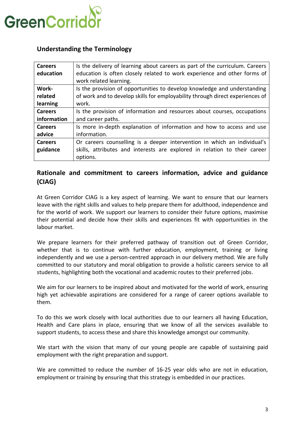

# **Understanding the Terminology**

| <b>Careers</b> | Is the delivery of learning about careers as part of the curriculum. Careers  |
|----------------|-------------------------------------------------------------------------------|
| education      | education is often closely related to work experience and other forms of      |
|                | work related learning.                                                        |
| Work-          | Is the provision of opportunities to develop knowledge and understanding      |
| related        | of work and to develop skills for employability through direct experiences of |
| learning       | work.                                                                         |
| <b>Careers</b> | Is the provision of information and resources about courses, occupations      |
| information    | and career paths.                                                             |
| <b>Careers</b> | Is more in-depth explanation of information and how to access and use         |
| advice         | information.                                                                  |
| <b>Careers</b> | Or careers counselling is a deeper intervention in which an individual's      |
| guidance       | skills, attributes and interests are explored in relation to their career     |
|                | options.                                                                      |

# **Rationale and commitment to careers information, advice and guidance (CIAG)**

At Green Corridor CIAG is a key aspect of learning. We want to ensure that our learners leave with the right skills and values to help prepare them for adulthood, independence and for the world of work. We support our learners to consider their future options, maximise their potential and decide how their skills and experiences fit with opportunities in the labour market.

We prepare learners for their preferred pathway of transition out of Green Corridor, whether that is to continue with further education, employment, training or living independently and we use a person-centred approach in our delivery method. We are fully committed to our statutory and moral obligation to provide a holistic careers service to all students, highlighting both the vocational and academic routes to their preferred jobs.

We aim for our learners to be inspired about and motivated for the world of work, ensuring high yet achievable aspirations are considered for a range of career options available to them.

To do this we work closely with local authorities due to our learners all having Education, Health and Care plans in place, ensuring that we know of all the services available to support students, to access these and share this knowledge amongst our community.

We start with the vision that many of our young people are capable of sustaining paid employment with the right preparation and support.

We are committed to reduce the number of 16-25 year olds who are not in education, employment or training by ensuring that this strategy is embedded in our practices.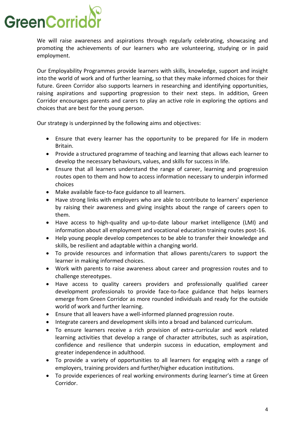# **GreenCorrid**

We will raise awareness and aspirations through regularly celebrating, showcasing and promoting the achievements of our learners who are volunteering, studying or in paid employment.

Our Employability Programmes provide learners with skills, knowledge, support and insight into the world of work and of further learning, so that they make informed choices for their future. Green Corridor also supports learners in researching and identifying opportunities, raising aspirations and supporting progression to their next steps. In addition, Green Corridor encourages parents and carers to play an active role in exploring the options and choices that are best for the young person.

Our strategy is underpinned by the following aims and objectives:

- Ensure that every learner has the opportunity to be prepared for life in modern Britain.
- Provide a structured programme of teaching and learning that allows each learner to develop the necessary behaviours, values, and skills for success in life.
- Ensure that all learners understand the range of career, learning and progression routes open to them and how to access information necessary to underpin informed choices
- Make available face-to-face guidance to all learners.
- Have strong links with employers who are able to contribute to learners' experience by raising their awareness and giving insights about the range of careers open to them.
- Have access to high-quality and up-to-date labour market intelligence (LMI) and information about all employment and vocational education training routes post-16.
- Help young people develop competences to be able to transfer their knowledge and skills, be resilient and adaptable within a changing world.
- To provide resources and information that allows parents/carers to support the learner in making informed choices.
- Work with parents to raise awareness about career and progression routes and to challenge stereotypes.
- Have access to quality careers providers and professionally qualified career development professionals to provide face-to-face guidance that helps learners emerge from Green Corridor as more rounded individuals and ready for the outside world of work and further learning.
- Ensure that all leavers have a well-informed planned progression route.
- Integrate careers and development skills into a broad and balanced curriculum.
- To ensure learners receive a rich provision of extra-curricular and work related learning activities that develop a range of character attributes, such as aspiration, confidence and resilience that underpin success in education, employment and greater independence in adulthood.
- To provide a variety of opportunities to all learners for engaging with a range of employers, training providers and further/higher education institutions.
- To provide experiences of real working environments during learner's time at Green Corridor.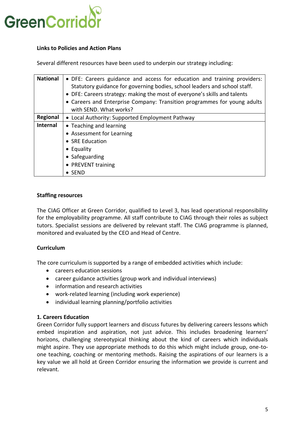

### **Links to Policies and Action Plans**

Several different resources have been used to underpin our strategy including:

| <b>National</b> | • DFE: Careers guidance and access for education and training providers:<br>Statutory guidance for governing bodies, school leaders and school staff.<br>• DFE: Careers strategy: making the most of everyone's skills and talents<br>• Careers and Enterprise Company: Transition programmes for young adults<br>with SEND. What works? |
|-----------------|------------------------------------------------------------------------------------------------------------------------------------------------------------------------------------------------------------------------------------------------------------------------------------------------------------------------------------------|
| Regional        | • Local Authority: Supported Employment Pathway                                                                                                                                                                                                                                                                                          |
| <b>Internal</b> | • Teaching and learning                                                                                                                                                                                                                                                                                                                  |
|                 | • Assessment for Learning                                                                                                                                                                                                                                                                                                                |
|                 | • SRE Education                                                                                                                                                                                                                                                                                                                          |
|                 | $\bullet$ Equality                                                                                                                                                                                                                                                                                                                       |
|                 | • Safeguarding                                                                                                                                                                                                                                                                                                                           |
|                 | • PREVENT training                                                                                                                                                                                                                                                                                                                       |
|                 | $\bullet$ SEND                                                                                                                                                                                                                                                                                                                           |

### **Staffing resources**

The CIAG Officer at Green Corridor, qualified to Level 3, has lead operational responsibility for the employability programme. All staff contribute to CIAG through their roles as subject tutors. Specialist sessions are delivered by relevant staff. The CIAG programme is planned, monitored and evaluated by the CEO and Head of Centre.

### **Curriculum**

The core curriculum is supported by a range of embedded activities which include:

- careers education sessions
- career guidance activities (group work and individual interviews)
- information and research activities
- work-related learning (including work experience)
- individual learning planning/portfolio activities

### **1. Careers Education**

Green Corridor fully support learners and discuss futures by delivering careers lessons which embed inspiration and aspiration, not just advice. This includes broadening learners' horizons, challenging stereotypical thinking about the kind of careers which individuals might aspire. They use appropriate methods to do this which might include group, one-toone teaching, coaching or mentoring methods. Raising the aspirations of our learners is a key value we all hold at Green Corridor ensuring the information we provide is current and relevant.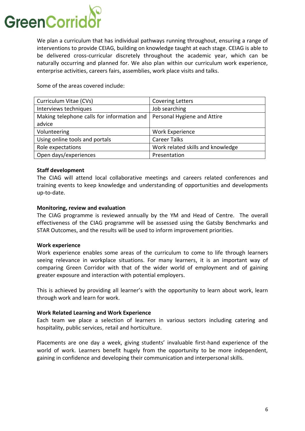

We plan a curriculum that has individual pathways running throughout, ensuring a range of interventions to provide CEIAG, building on knowledge taught at each stage. CEIAG is able to be delivered cross-curricular discretely throughout the academic year, which can be naturally occurring and planned for. We also plan within our curriculum work experience, enterprise activities, careers fairs, assemblies, work place visits and talks.

Some of the areas covered include:

| Curriculum Vitae (CVs)                     | <b>Covering Letters</b>           |
|--------------------------------------------|-----------------------------------|
| Interviews techniques                      | Job searching                     |
| Making telephone calls for information and | Personal Hygiene and Attire       |
| advice                                     |                                   |
| Volunteering                               | Work Experience                   |
| Using online tools and portals             | <b>Career Talks</b>               |
| Role expectations                          | Work related skills and knowledge |
| Open days/experiences                      | Presentation                      |

### **Staff development**

The CIAG will attend local collaborative meetings and careers related conferences and training events to keep knowledge and understanding of opportunities and developments up-to-date.

### **Monitoring, review and evaluation**

The CIAG programme is reviewed annually by the YM and Head of Centre. The overall effectiveness of the CIAG programme will be assessed using the Gatsby Benchmarks and STAR Outcomes, and the results will be used to inform improvement priorities.

### **Work experience**

Work experience enables some areas of the curriculum to come to life through learners seeing relevance in workplace situations. For many learners, it is an important way of comparing Green Corridor with that of the wider world of employment and of gaining greater exposure and interaction with potential employers.

This is achieved by providing all learner's with the opportunity to learn about work, learn through work and learn for work.

### **Work Related Learning and Work Experience**

Each team we place a selection of learners in various sectors including catering and hospitality, public services, retail and horticulture.

Placements are one day a week, giving students' invaluable first-hand experience of the world of work. Learners benefit hugely from the opportunity to be more independent, gaining in confidence and developing their communication and interpersonal skills.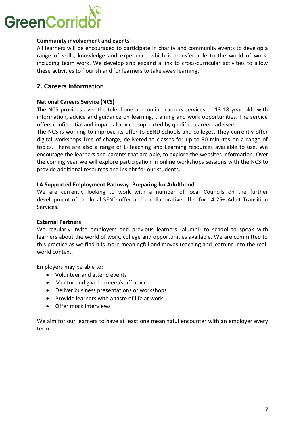# GreenCorrio

### **Community involvement and events**

All learners will be encouraged to participate in charity and community events to develop a range of skills, knowledge and experience which is transferrable to the world of work, including team work. We develop and expand a link to cross-curricular activities to allow these activities to flourish and for learners to take away learning.

## **2. Careers Information**

### **National Careers Service (NCS)**

The NCS provides over-the-telephone and online careers services to 13-18 year olds with information, advice and guidance on learning, training and work opportunities. The service offers confidential and impartial advice, supported by qualified careers advisers.

The NCS is working to improve its offer to SEND schools and colleges. They currently offer digital workshops free of charge, delivered to classes for up to 30 minutes on a range of topics. There are also a range of E-Teaching and Learning resources available to use. We encourage the learners and parents that are able, to explore the websites information. Over the coming year we will explore participation in online workshops sessions with the NCS to provide additional resources and insight for our students.

### **LA Supported Employment Pathway: Preparing for Adulthood**

We are currently looking to work with a number of local Councils on the further development of the local SEND offer and a collaborative offer for 14-25+ Adult Transition Services.

### **External Partners**

We regularly invite employers and previous learners (alumni) to school to speak with learners about the world of work, college and opportunities available. We are committed to this practice as we find it is more meaningful and moves teaching and learning into the realworld context.

Employers may be able to:

- Volunteer and attend events
- Mentor and give learners/staff advice
- Deliver business presentations or workshops
- Provide learners with a taste of life at work
- Offer mock interviews

We aim for our learners to have at least one meaningful encounter with an employer every term.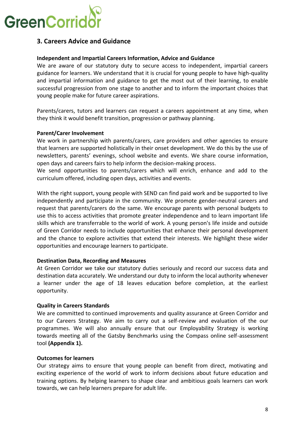

# **3. Careers Advice and Guidance**

### **Independent and Impartial Careers Information, Advice and Guidance**

We are aware of our statutory duty to secure access to independent, impartial careers guidance for learners. We understand that it is crucial for young people to have high-quality and impartial information and guidance to get the most out of their learning, to enable successful progression from one stage to another and to inform the important choices that young people make for future career aspirations.

Parents/carers, tutors and learners can request a careers appointment at any time, when they think it would benefit transition, progression or pathway planning.

### **Parent/Carer Involvement**

We work in partnership with parents/carers, care providers and other agencies to ensure that learners are supported holistically in their onset development. We do this by the use of newsletters, parents' evenings, school website and events. We share course information, open days and careers fairs to help inform the decision-making process.

We send opportunities to parents/carers which will enrich, enhance and add to the curriculum offered, including open days, activities and events.

With the right support, young people with SEND can find paid work and be supported to live independently and participate in the community. We promote gender-neutral careers and request that parents/carers do the same. We encourage parents with personal budgets to use this to access activities that promote greater independence and to learn important life skills which are transferrable to the world of work. A young person's life inside and outside of Green Corridor needs to include opportunities that enhance their personal development and the chance to explore activities that extend their interests. We highlight these wider opportunities and encourage learners to participate.

### **Destination Data, Recording and Measures**

At Green Corridor we take our statutory duties seriously and record our success data and destination data accurately. We understand our duty to inform the local authority whenever a learner under the age of 18 leaves education before completion, at the earliest opportunity.

### **Quality in Careers Standards**

We are committed to continued improvements and quality assurance at Green Corridor and to our Careers Strategy. We aim to carry out a self-review and evaluation of the our programmes. We will also annually ensure that our Employability Strategy is working towards meeting all of the Gatsby Benchmarks using the Compass online self-assessment tool **(Appendix 1).** 

### **Outcomes for learners**

Our strategy aims to ensure that young people can benefit from direct, motivating and exciting experience of the world of work to inform decisions about future education and training options. By helping learners to shape clear and ambitious goals learners can work towards, we can help learners prepare for adult life.